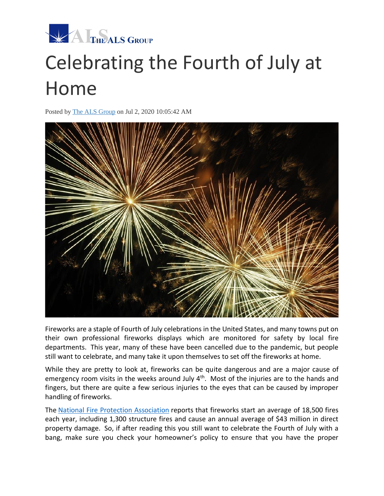

## Celebrating the Fourth of July at Home

Posted by [The ALS Group](http://info.thealsgroup.com/blog/author/the-als-group) on Jul 2, 2020 10:05:42 AM



Fireworks are a staple of Fourth of July celebrations in the United States, and many towns put on their own professional fireworks displays which are monitored for safety by local fire departments. This year, many of these have been cancelled due to the pandemic, but people still want to celebrate, and many take it upon themselves to set off the fireworks at home.

While they are pretty to look at, fireworks can be quite dangerous and are a major cause of emergency room visits in the weeks around July 4<sup>th</sup>. Most of the injuries are to the hands and fingers, but there are quite a few serious injuries to the eyes that can be caused by improper handling of fireworks.

The [National Fire Protection Association](https://www.nfpa.org/fireworks) reports that fireworks start an average of 18,500 fires each year, including 1,300 structure fires and cause an annual average of \$43 million in direct property damage. So, if after reading this you still want to celebrate the Fourth of July with a bang, make sure you check your homeowner's policy to ensure that you have the proper